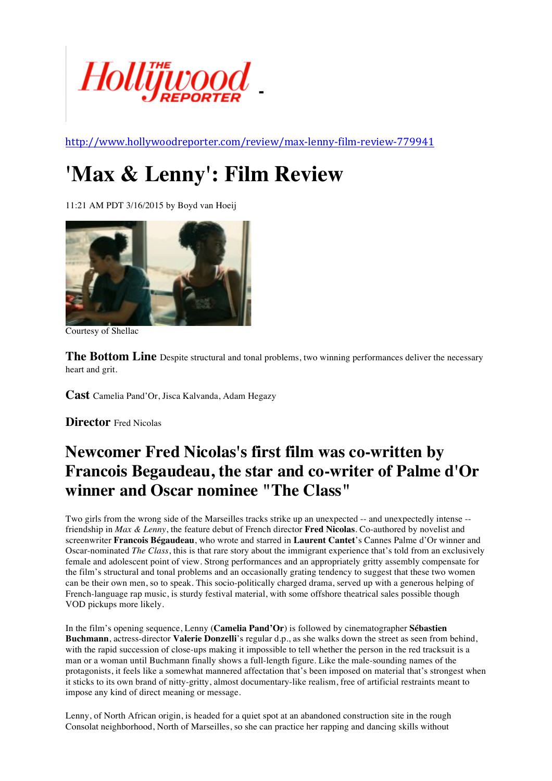

http://www.hollywoodreporter.com/review/max-lenny-film-review-779941

## **'Max & Lenny': Film Review**

11:21 AM PDT 3/16/2015 by Boyd van Hoeij



Courtesy of Shellac

**The Bottom Line** Despite structural and tonal problems, two winning performances deliver the necessary heart and grit.

**Cast** Camelia Pand'Or, Jisca Kalvanda, Adam Hegazy

**Director** Fred Nicolas

## **Newcomer Fred Nicolas's first film was co-written by Francois Begaudeau, the star and co-writer of Palme d'Or winner and Oscar nominee "The Class"**

Two girls from the wrong side of the Marseilles tracks strike up an unexpected -- and unexpectedly intense - friendship in *Max & Lenny*, the feature debut of French director **Fred Nicolas**. Co-authored by novelist and screenwriter **Francois Bégaudeau**, who wrote and starred in **Laurent Cantet**'s Cannes Palme d'Or winner and Oscar-nominated *The Class*, this is that rare story about the immigrant experience that's told from an exclusively female and adolescent point of view. Strong performances and an appropriately gritty assembly compensate for the film's structural and tonal problems and an occasionally grating tendency to suggest that these two women can be their own men, so to speak. This socio-politically charged drama, served up with a generous helping of French-language rap music, is sturdy festival material, with some offshore theatrical sales possible though VOD pickups more likely.

In the film's opening sequence, Lenny (**Camelia Pand'Or**) is followed by cinematographer **Sébastien Buchmann**, actress-director **Valerie Donzelli**'s regular d.p., as she walks down the street as seen from behind, with the rapid succession of close-ups making it impossible to tell whether the person in the red tracksuit is a man or a woman until Buchmann finally shows a full-length figure. Like the male-sounding names of the protagonists, it feels like a somewhat mannered affectation that's been imposed on material that's strongest when it sticks to its own brand of nitty-gritty, almost documentary-like realism, free of artificial restraints meant to impose any kind of direct meaning or message.

Lenny, of North African origin, is headed for a quiet spot at an abandoned construction site in the rough Consolat neighborhood, North of Marseilles, so she can practice her rapping and dancing skills without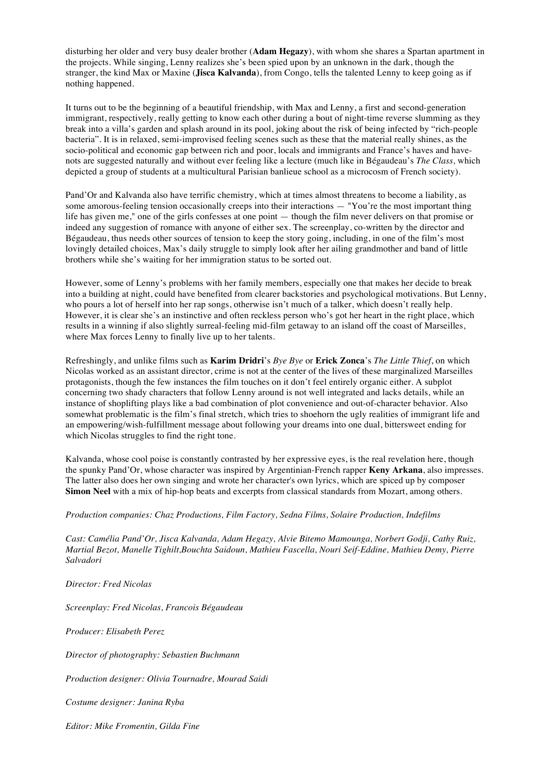disturbing her older and very busy dealer brother (**Adam Hegazy**), with whom she shares a Spartan apartment in the projects. While singing, Lenny realizes she's been spied upon by an unknown in the dark, though the stranger, the kind Max or Maxine (**Jisca Kalvanda**), from Congo, tells the talented Lenny to keep going as if nothing happened.

It turns out to be the beginning of a beautiful friendship, with Max and Lenny, a first and second-generation immigrant, respectively, really getting to know each other during a bout of night-time reverse slumming as they break into a villa's garden and splash around in its pool, joking about the risk of being infected by "rich-people bacteria". It is in relaxed, semi-improvised feeling scenes such as these that the material really shines, as the socio-political and economic gap between rich and poor, locals and immigrants and France's haves and havenots are suggested naturally and without ever feeling like a lecture (much like in Bégaudeau's *The Class,* which depicted a group of students at a multicultural Parisian banlieue school as a microcosm of French society).

Pand'Or and Kalvanda also have terrific chemistry, which at times almost threatens to become a liability, as some amorous-feeling tension occasionally creeps into their interactions — "You're the most important thing life has given me," one of the girls confesses at one point — though the film never delivers on that promise or indeed any suggestion of romance with anyone of either sex. The screenplay, co-written by the director and Bégaudeau, thus needs other sources of tension to keep the story going, including, in one of the film's most lovingly detailed choices, Max's daily struggle to simply look after her ailing grandmother and band of little brothers while she's waiting for her immigration status to be sorted out.

However, some of Lenny's problems with her family members, especially one that makes her decide to break into a building at night, could have benefited from clearer backstories and psychological motivations. But Lenny, who pours a lot of herself into her rap songs, otherwise isn't much of a talker, which doesn't really help. However, it is clear she's an instinctive and often reckless person who's got her heart in the right place, which results in a winning if also slightly surreal-feeling mid-film getaway to an island off the coast of Marseilles, where Max forces Lenny to finally live up to her talents.

Refreshingly, and unlike films such as **Karim Dridri**'s *Bye Bye* or **Erick Zonca**'s *The Little Thief*, on which Nicolas worked as an assistant director, crime is not at the center of the lives of these marginalized Marseilles protagonists, though the few instances the film touches on it don't feel entirely organic either. A subplot concerning two shady characters that follow Lenny around is not well integrated and lacks details, while an instance of shoplifting plays like a bad combination of plot convenience and out-of-character behavior. Also somewhat problematic is the film's final stretch, which tries to shoehorn the ugly realities of immigrant life and an empowering/wish-fulfillment message about following your dreams into one dual, bittersweet ending for which Nicolas struggles to find the right tone.

Kalvanda, whose cool poise is constantly contrasted by her expressive eyes, is the real revelation here, though the spunky Pand'Or, whose character was inspired by Argentinian-French rapper **Keny Arkana**, also impresses. The latter also does her own singing and wrote her character's own lyrics, which are spiced up by composer **Simon Neel** with a mix of hip-hop beats and excerpts from classical standards from Mozart, among others.

## *Production companies: Chaz Productions, Film Factory, Sedna Films, Solaire Production, Indefilms*

*Cast: Camélia Pand'Or, Jisca Kalvanda, Adam Hegazy, Alvie Bitemo Mamounga, Norbert Godji, Cathy Ruiz, Martial Bezot, Manelle Tighilt,Bouchta Saidoun, Mathieu Fascella, Nouri Seif-Eddine, Mathieu Demy, Pierre Salvadori*

*Director: Fred Nicolas*

*Screenplay: Fred Nicolas, Francois Bégaudeau*

*Producer: Elisabeth Perez* 

*Director of photography: Sebastien Buchmann*

*Production designer: Olivia Tournadre, Mourad Saidi* 

*Costume designer: Janina Ryba*

*Editor: Mike Fromentin, Gilda Fine*